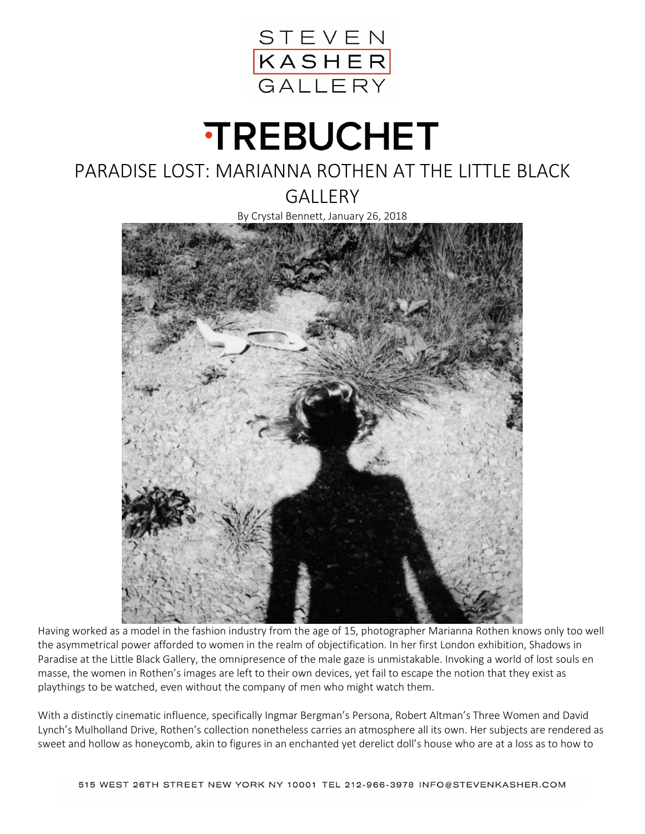

## **TREBUCHET**

## PARADISE LOST: MARIANNA ROTHEN AT THE LITTLE BLACK

**GALLERY** 

By Crystal Bennett, January 26, 2018



Having worked as a model in the fashion industry from the age of 15, photographer Marianna Rothen knows only too well the asymmetrical power afforded to women in the realm of objectification. In her first London exhibition, Shadows in Paradise at the Little Black Gallery, the omnipresence of the male gaze is unmistakable. Invoking a world of lost souls en masse, the women in Rothen's images are left to their own devices, yet fail to escape the notion that they exist as playthings to be watched, even without the company of men who might watch them.

With a distinctly cinematic influence, specifically Ingmar Bergman's Persona, Robert Altman's Three Women and David Lynch's Mulholland Drive, Rothen's collection nonetheless carries an atmosphere all its own. Her subjects are rendered as sweet and hollow as honeycomb, akin to figures in an enchanted yet derelict doll's house who are at a loss as to how to